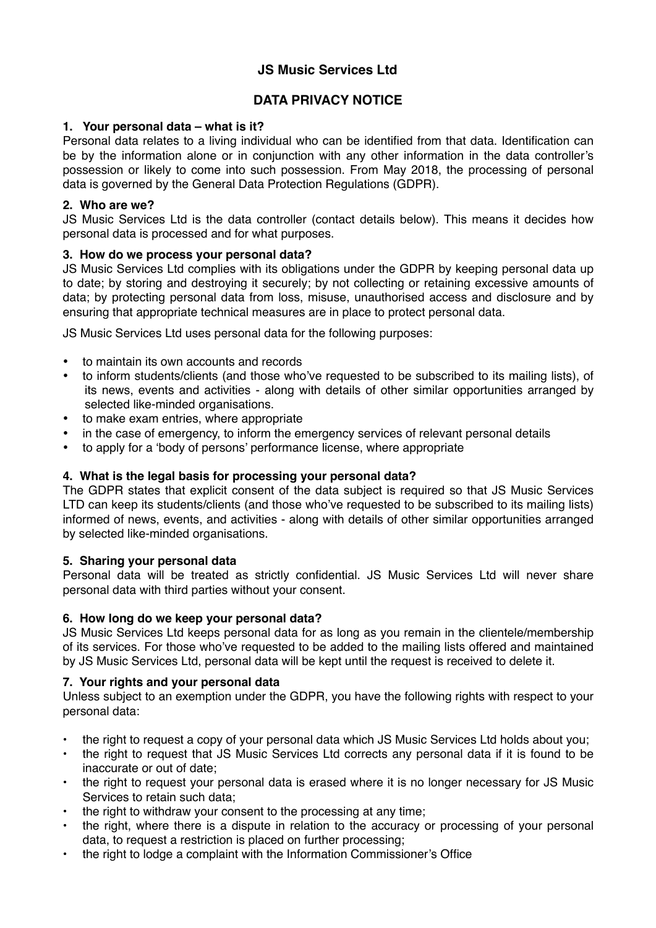# **JS Music Services Ltd**

# **DATA PRIVACY NOTICE**

# **1. Your personal data – what is it?**

Personal data relates to a living individual who can be identified from that data. Identification can be by the information alone or in conjunction with any other information in the data controller's possession or likely to come into such possession. From May 2018, the processing of personal data is governed by the General Data Protection Regulations (GDPR).

### **2. Who are we?**

JS Music Services Ltd is the data controller (contact details below). This means it decides how personal data is processed and for what purposes.

# **3. How do we process your personal data?**

JS Music Services Ltd complies with its obligations under the GDPR by keeping personal data up to date; by storing and destroying it securely; by not collecting or retaining excessive amounts of data; by protecting personal data from loss, misuse, unauthorised access and disclosure and by ensuring that appropriate technical measures are in place to protect personal data.

JS Music Services Ltd uses personal data for the following purposes:

- to maintain its own accounts and records
- to inform students/clients (and those who've requested to be subscribed to its mailing lists), of its news, events and activities - along with details of other similar opportunities arranged by selected like-minded organisations.
- to make exam entries, where appropriate
- in the case of emergency, to inform the emergency services of relevant personal details
- to apply for a 'body of persons' performance license, where appropriate

# **4. What is the legal basis for processing your personal data?**

The GDPR states that explicit consent of the data subject is required so that JS Music Services LTD can keep its students/clients (and those who've requested to be subscribed to its mailing lists) informed of news, events, and activities - along with details of other similar opportunities arranged by selected like-minded organisations.

#### **5. Sharing your personal data**

Personal data will be treated as strictly confidential. JS Music Services Ltd will never share personal data with third parties without your consent.

#### **6. How long do we keep your personal data?**

JS Music Services Ltd keeps personal data for as long as you remain in the clientele/membership of its services. For those who've requested to be added to the mailing lists offered and maintained by JS Music Services Ltd, personal data will be kept until the request is received to delete it.

# **7. Your rights and your personal data**

Unless subject to an exemption under the GDPR, you have the following rights with respect to your personal data:

- the right to request a copy of your personal data which JS Music Services Ltd holds about you;
- the right to request that JS Music Services Ltd corrects any personal data if it is found to be inaccurate or out of date;
- the right to request your personal data is erased where it is no longer necessary for JS Music Services to retain such data;
- the right to withdraw your consent to the processing at any time;
- the right, where there is a dispute in relation to the accuracy or processing of your personal data, to request a restriction is placed on further processing;
- the right to lodge a complaint with the Information Commissioner's Office